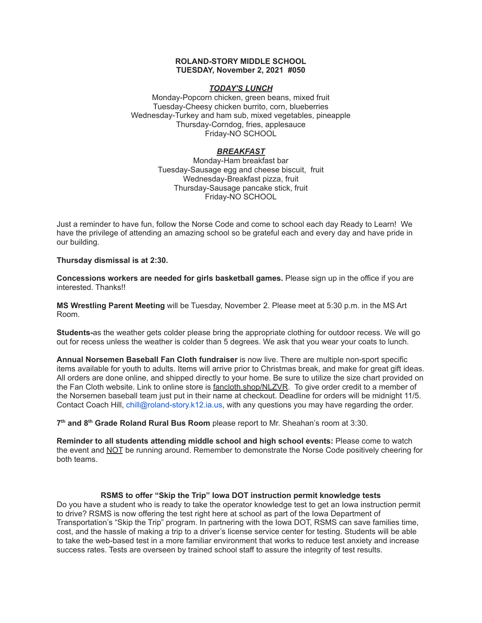#### **ROLAND-STORY MIDDLE SCHOOL TUESDAY, November 2, 2021 #050**

### *TODAY'S LUNCH*

Monday-Popcorn chicken, green beans, mixed fruit Tuesday-Cheesy chicken burrito, corn, blueberries Wednesday-Turkey and ham sub, mixed vegetables, pineapple Thursday-Corndog, fries, applesauce Friday-NO SCHOOL

# *BREAKFAST*

Monday-Ham breakfast bar Tuesday-Sausage egg and cheese biscuit, fruit Wednesday-Breakfast pizza, fruit Thursday-Sausage pancake stick, fruit Friday-NO SCHOOL

Just a reminder to have fun, follow the Norse Code and come to school each day Ready to Learn! We have the privilege of attending an amazing school so be grateful each and every day and have pride in our building.

**Thursday dismissal is at 2:30.**

**Concessions workers are needed for girls basketball games.** Please sign up in the office if you are interested. Thanks!!

**MS Wrestling Parent Meeting** will be Tuesday, November 2. Please meet at 5:30 p.m. in the MS Art Room.

**Students-**as the weather gets colder please bring the appropriate clothing for outdoor recess. We will go out for recess unless the weather is colder than 5 degrees. We ask that you wear your coats to lunch.

**Annual Norsemen Baseball Fan Cloth fundraiser** is now live. There are multiple non-sport specific items available for youth to adults. Items will arrive prior to Christmas break, and make for great gift ideas. All orders are done online, and shipped directly to your home. Be sure to utilize the size chart provided on the Fan Cloth website. Link to online store is [fancloth.shop/NLZVR.](http://fancloth.shop/NLZVR) To give order credit to a member of the Norsemen baseball team just put in their name at checkout. Deadline for orders will be midnight 11/5. Contact Coach Hill, chill@roland-story.k12.ia.us, with any questions you may have regarding the order.

**7 th and 8 th Grade Roland Rural Bus Room** please report to Mr. Sheahan's room at 3:30.

**Reminder to all students attending middle school and high school events:** Please come to watch the event and NOT be running around. Remember to demonstrate the Norse Code positively cheering for both teams.

### **RSMS to offer "Skip the Trip" Iowa DOT instruction permit knowledge tests**

Do you have a student who is ready to take the operator knowledge test to get an Iowa instruction permit to drive? RSMS is now offering the test right here at school as part of the Iowa Department of Transportation's "Skip the Trip" program. In partnering with the Iowa DOT, RSMS can save families time, cost, and the hassle of making a trip to a driver's license service center for testing. Students will be able to take the web-based test in a more familiar environment that works to reduce test anxiety and increase success rates. Tests are overseen by trained school staff to assure the integrity of test results.